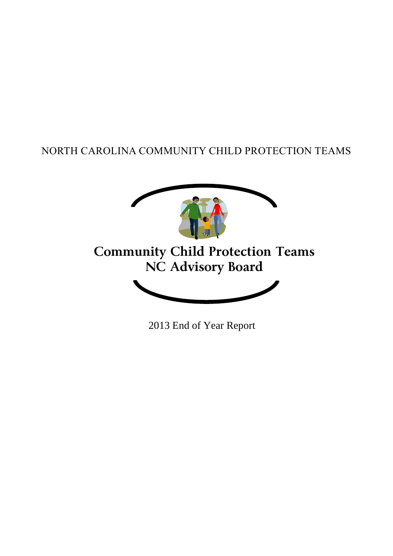# NORTH CAROLINA COMMUNITY CHILD PROTECTION TEAMS



2013 End of Year Report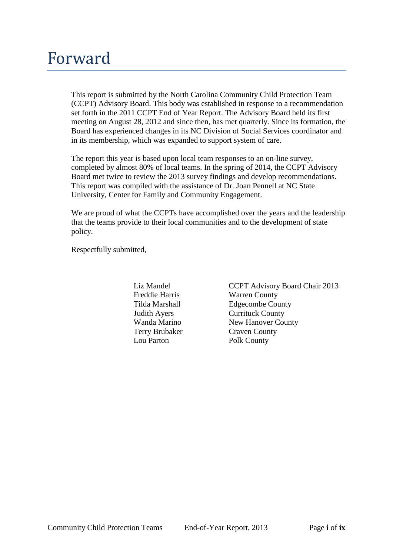# Forward

This report is submitted by the North Carolina Community Child Protection Team (CCPT) Advisory Board. This body was established in response to a recommendation set forth in the 2011 CCPT End of Year Report. The Advisory Board held its first meeting on August 28, 2012 and since then, has met quarterly. Since its formation, the Board has experienced changes in its NC Division of Social Services coordinator and in its membership, which was expanded to support system of care.

The report this year is based upon local team responses to an on-line survey, completed by almost 80% of local teams. In the spring of 2014, the CCPT Advisory Board met twice to review the 2013 survey findings and develop recommendations. This report was compiled with the assistance of Dr. Joan Pennell at NC State University, Center for Family and Community Engagement.

We are proud of what the CCPTs have accomplished over the years and the leadership that the teams provide to their local communities and to the development of state policy.

Respectfully submitted,

Terry Brubaker Craven County Lou Parton Polk County

Liz Mandel CCPT Advisory Board Chair 2013 Freddie Harris Warren County Tilda Marshall Edgecombe County **Judith Ayers** Currituck County<br>
Wanda Marino **County**<br>
New Hanover Co New Hanover County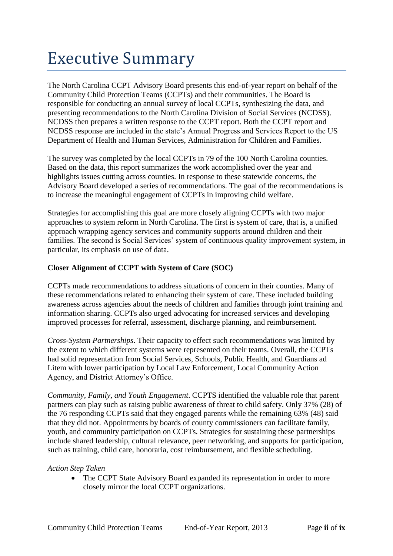# Executive Summary

The North Carolina CCPT Advisory Board presents this end-of-year report on behalf of the Community Child Protection Teams (CCPTs) and their communities. The Board is responsible for conducting an annual survey of local CCPTs, synthesizing the data, and presenting recommendations to the North Carolina Division of Social Services (NCDSS). NCDSS then prepares a written response to the CCPT report. Both the CCPT report and NCDSS response are included in the state's Annual Progress and Services Report to the US Department of Health and Human Services, Administration for Children and Families.

The survey was completed by the local CCPTs in 79 of the 100 North Carolina counties. Based on the data, this report summarizes the work accomplished over the year and highlights issues cutting across counties. In response to these statewide concerns, the Advisory Board developed a series of recommendations. The goal of the recommendations is to increase the meaningful engagement of CCPTs in improving child welfare.

Strategies for accomplishing this goal are more closely aligning CCPTs with two major approaches to system reform in North Carolina. The first is system of care, that is, a unified approach wrapping agency services and community supports around children and their families. The second is Social Services' system of continuous quality improvement system, in particular, its emphasis on use of data.

#### **Closer Alignment of CCPT with System of Care (SOC)**

CCPTs made recommendations to address situations of concern in their counties. Many of these recommendations related to enhancing their system of care. These included building awareness across agencies about the needs of children and families through joint training and information sharing. CCPTs also urged advocating for increased services and developing improved processes for referral, assessment, discharge planning, and reimbursement.

*Cross-System Partnerships*. Their capacity to effect such recommendations was limited by the extent to which different systems were represented on their teams. Overall, the CCPTs had solid representation from Social Services, Schools, Public Health, and Guardians ad Litem with lower participation by Local Law Enforcement, Local Community Action Agency, and District Attorney's Office.

*Community, Family, and Youth Engagement*. CCPTS identified the valuable role that parent partners can play such as raising public awareness of threat to child safety. Only 37% (28) of the 76 responding CCPTs said that they engaged parents while the remaining 63% (48) said that they did not. Appointments by boards of county commissioners can facilitate family, youth, and community participation on CCPTs. Strategies for sustaining these partnerships include shared leadership, cultural relevance, peer networking, and supports for participation, such as training, child care, honoraria, cost reimbursement, and flexible scheduling.

#### *Action Step Taken*

• The CCPT State Advisory Board expanded its representation in order to more closely mirror the local CCPT organizations.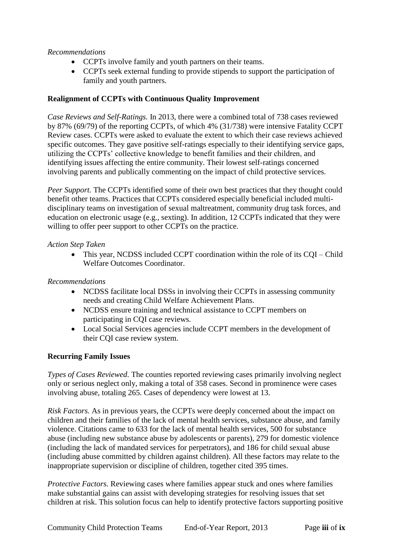#### *Recommendations*

- CCPTs involve family and youth partners on their teams.
- CCPTs seek external funding to provide stipends to support the participation of family and youth partners.

#### **Realignment of CCPTs with Continuous Quality Improvement**

*Case Reviews and Self-Ratings.* In 2013, there were a combined total of 738 cases reviewed by 87% (69/79) of the reporting CCPTs, of which 4% (31/738) were intensive Fatality CCPT Review cases. CCPTs were asked to evaluate the extent to which their case reviews achieved specific outcomes. They gave positive self-ratings especially to their identifying service gaps, utilizing the CCPTs' collective knowledge to benefit families and their children, and identifying issues affecting the entire community. Their lowest self-ratings concerned involving parents and publically commenting on the impact of child protective services.

*Peer Support.* The CCPTs identified some of their own best practices that they thought could benefit other teams. Practices that CCPTs considered especially beneficial included multidisciplinary teams on investigation of sexual maltreatment, community drug task forces, and education on electronic usage (e.g., sexting). In addition, 12 CCPTs indicated that they were willing to offer peer support to other CCPTs on the practice.

#### *Action Step Taken*

• This year, NCDSS included CCPT coordination within the role of its CQI – Child Welfare Outcomes Coordinator.

#### *Recommendations*

- NCDSS facilitate local DSSs in involving their CCPTs in assessing community needs and creating Child Welfare Achievement Plans.
- NCDSS ensure training and technical assistance to CCPT members on participating in CQI case reviews.
- Local Social Services agencies include CCPT members in the development of their CQI case review system.

#### **Recurring Family Issues**

*Types of Cases Reviewed.* The counties reported reviewing cases primarily involving neglect only or serious neglect only, making a total of 358 cases. Second in prominence were cases involving abuse, totaling 265. Cases of dependency were lowest at 13.

*Risk Factors.* As in previous years, the CCPTs were deeply concerned about the impact on children and their families of the lack of mental health services, substance abuse, and family violence. Citations came to 633 for the lack of mental health services, 500 for substance abuse (including new substance abuse by adolescents or parents), 279 for domestic violence (including the lack of mandated services for perpetrators), and 186 for child sexual abuse (including abuse committed by children against children). All these factors may relate to the inappropriate supervision or discipline of children, together cited 395 times.

*Protective Factors.* Reviewing cases where families appear stuck and ones where families make substantial gains can assist with developing strategies for resolving issues that set children at risk. This solution focus can help to identify protective factors supporting positive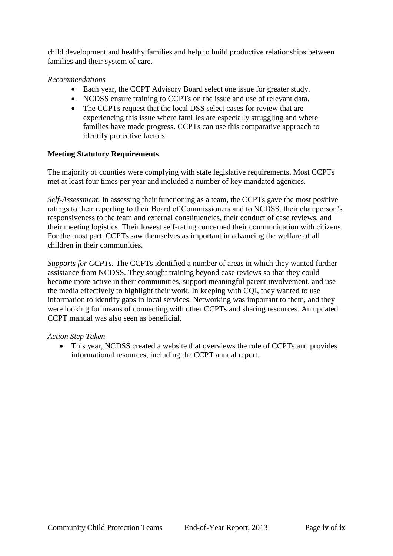child development and healthy families and help to build productive relationships between families and their system of care.

#### *Recommendations*

- Each year, the CCPT Advisory Board select one issue for greater study.
- NCDSS ensure training to CCPTs on the issue and use of relevant data.
- The CCPTs request that the local DSS select cases for review that are experiencing this issue where families are especially struggling and where families have made progress. CCPTs can use this comparative approach to identify protective factors.

#### **Meeting Statutory Requirements**

The majority of counties were complying with state legislative requirements. Most CCPTs met at least four times per year and included a number of key mandated agencies.

*Self-Assessment.* In assessing their functioning as a team, the CCPTs gave the most positive ratings to their reporting to their Board of Commissioners and to NCDSS, their chairperson's responsiveness to the team and external constituencies, their conduct of case reviews, and their meeting logistics. Their lowest self-rating concerned their communication with citizens. For the most part, CCPTs saw themselves as important in advancing the welfare of all children in their communities.

*Supports for CCPTs.* The CCPTs identified a number of areas in which they wanted further assistance from NCDSS. They sought training beyond case reviews so that they could become more active in their communities, support meaningful parent involvement, and use the media effectively to highlight their work. In keeping with CQI, they wanted to use information to identify gaps in local services. Networking was important to them, and they were looking for means of connecting with other CCPTs and sharing resources. An updated CCPT manual was also seen as beneficial.

#### *Action Step Taken*

• This year, NCDSS created a website that overviews the role of CCPTs and provides informational resources, including the CCPT annual report.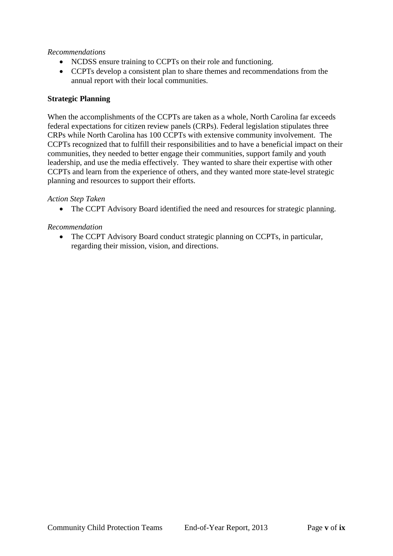#### *Recommendations*

- NCDSS ensure training to CCPTs on their role and functioning.
- CCPTs develop a consistent plan to share themes and recommendations from the annual report with their local communities.

#### **Strategic Planning**

When the accomplishments of the CCPTs are taken as a whole, North Carolina far exceeds federal expectations for citizen review panels (CRPs). Federal legislation stipulates three CRPs while North Carolina has 100 CCPTs with extensive community involvement. The CCPTs recognized that to fulfill their responsibilities and to have a beneficial impact on their communities, they needed to better engage their communities, support family and youth leadership, and use the media effectively. They wanted to share their expertise with other CCPTs and learn from the experience of others, and they wanted more state-level strategic planning and resources to support their efforts.

#### *Action Step Taken*

• The CCPT Advisory Board identified the need and resources for strategic planning.

#### *Recommendation*

• The CCPT Advisory Board conduct strategic planning on CCPTs, in particular, regarding their mission, vision, and directions.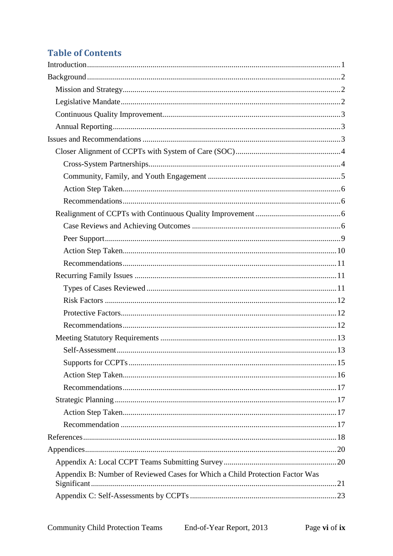# **Table of Contents**

| Appendix B: Number of Reviewed Cases for Which a Child Protection Factor Was |  |
|------------------------------------------------------------------------------|--|
|                                                                              |  |
|                                                                              |  |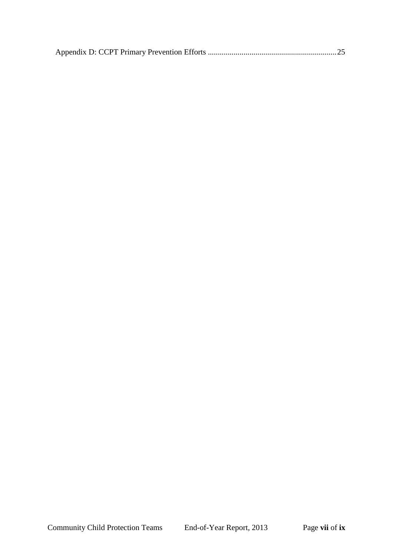|--|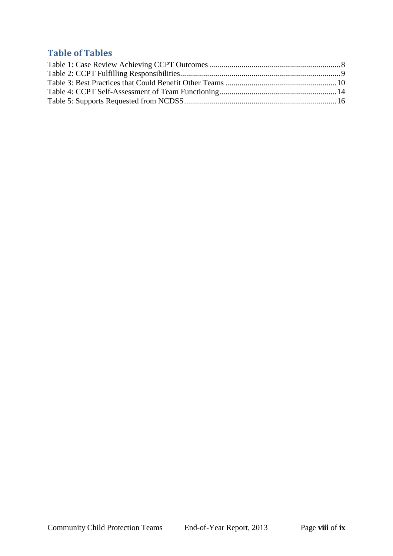# **Table of Tables**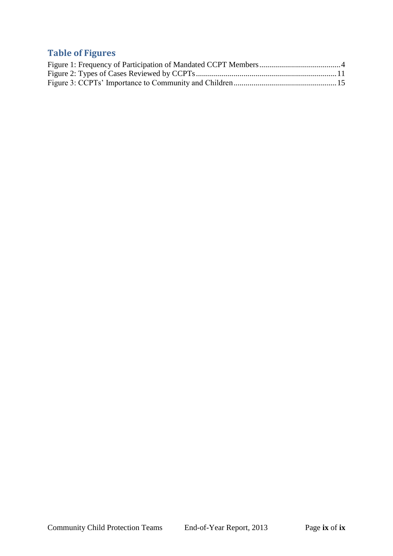# **Table of Figures**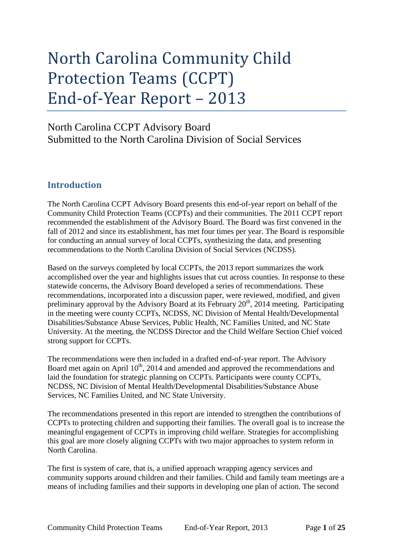# North Carolina Community Child Protection Teams (CCPT) End-of-Year Report – 2013

# North Carolina CCPT Advisory Board Submitted to the North Carolina Division of Social Services

# <span id="page-10-0"></span>**Introduction**

The North Carolina CCPT Advisory Board presents this end-of-year report on behalf of the Community Child Protection Teams (CCPTs) and their communities. The 2011 CCPT report recommended the establishment of the Advisory Board. The Board was first convened in the fall of 2012 and since its establishment, has met four times per year. The Board is responsible for conducting an annual survey of local CCPTs, synthesizing the data, and presenting recommendations to the North Carolina Division of Social Services (NCDSS).

Based on the surveys completed by local CCPTs, the 2013 report summarizes the work accomplished over the year and highlights issues that cut across counties. In response to these statewide concerns, the Advisory Board developed a series of recommendations. These recommendations, incorporated into a discussion paper, were reviewed, modified, and given preliminary approval by the Advisory Board at its February  $20<sup>th</sup>$ , 2014 meeting. Participating in the meeting were county CCPTs, NCDSS, NC Division of Mental Health/Developmental Disabilities/Substance Abuse Services, Public Health, NC Families United, and NC State University. At the meeting, the NCDSS Director and the Child Welfare Section Chief voiced strong support for CCPTs.

The recommendations were then included in a drafted end-of-year report. The Advisory Board met again on April 10<sup>th</sup>, 2014 and amended and approved the recommendations and laid the foundation for strategic planning on CCPTs. Participants were county CCPTs, NCDSS, NC Division of Mental Health/Developmental Disabilities/Substance Abuse Services, NC Families United, and NC State University.

The recommendations presented in this report are intended to strengthen the contributions of CCPTs to protecting children and supporting their families. The overall goal is to increase the meaningful engagement of CCPTs in improving child welfare. Strategies for accomplishing this goal are more closely aligning CCPTs with two major approaches to system reform in North Carolina.

The first is system of care, that is, a unified approach wrapping agency services and community supports around children and their families. Child and family team meetings are a means of including families and their supports in developing one plan of action. The second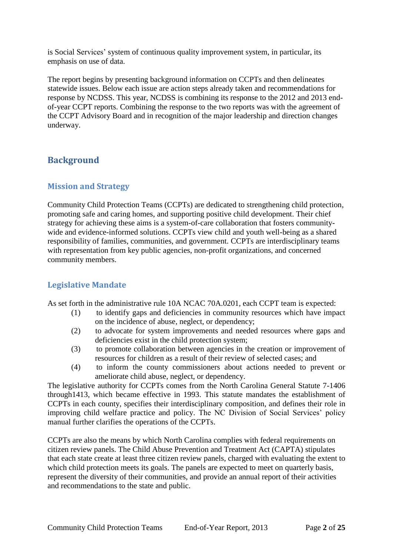is Social Services' system of continuous quality improvement system, in particular, its emphasis on use of data.

The report begins by presenting background information on CCPTs and then delineates statewide issues. Below each issue are action steps already taken and recommendations for response by NCDSS. This year, NCDSS is combining its response to the 2012 and 2013 endof-year CCPT reports. Combining the response to the two reports was with the agreement of the CCPT Advisory Board and in recognition of the major leadership and direction changes underway.

# <span id="page-11-0"></span>**Background**

#### <span id="page-11-1"></span>**Mission and Strategy**

Community Child Protection Teams (CCPTs) are dedicated to strengthening child protection, promoting safe and caring homes, and supporting positive child development. Their chief strategy for achieving these aims is a system-of-care collaboration that fosters communitywide and evidence-informed solutions. CCPTs view child and youth well-being as a shared responsibility of families, communities, and government. CCPTs are interdisciplinary teams with representation from key public agencies, non-profit organizations, and concerned community members.

# <span id="page-11-2"></span>**Legislative Mandate**

As set forth in the administrative rule 10A NCAC 70A.0201, each CCPT team is expected:

- (1) to identify gaps and deficiencies in community resources which have impact on the incidence of abuse, neglect, or dependency;
- (2) to advocate for system improvements and needed resources where gaps and deficiencies exist in the child protection system;
- (3) to promote collaboration between agencies in the creation or improvement of resources for children as a result of their review of selected cases; and
- (4) to inform the county commissioners about actions needed to prevent or ameliorate child abuse, neglect, or dependency.

The legislative authority for CCPTs comes from the North Carolina General Statute 7-1406 through1413, which became effective in 1993. This statute mandates the establishment of CCPTs in each county, specifies their interdisciplinary composition, and defines their role in improving child welfare practice and policy. The NC Division of Social Services' policy manual further clarifies the operations of the CCPTs.

CCPTs are also the means by which North Carolina complies with federal requirements on citizen review panels. The Child Abuse Prevention and Treatment Act (CAPTA) stipulates that each state create at least three citizen review panels, charged with evaluating the extent to which child protection meets its goals. The panels are expected to meet on quarterly basis, represent the diversity of their communities, and provide an annual report of their activities and recommendations to the state and public.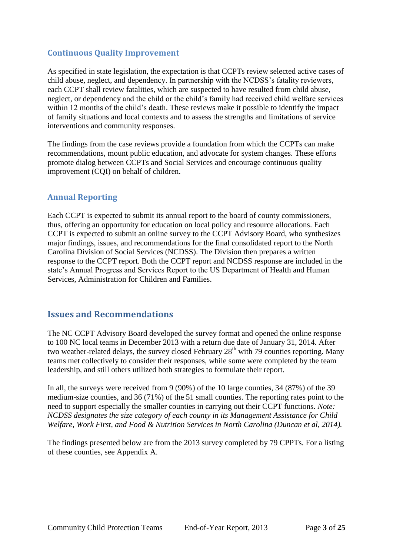# <span id="page-12-0"></span>**Continuous Quality Improvement**

As specified in state legislation, the expectation is that CCPTs review selected active cases of child abuse, neglect, and dependency. In partnership with the NCDSS's fatality reviewers, each CCPT shall review fatalities, which are suspected to have resulted from child abuse, neglect, or dependency and the child or the child's family had received child welfare services within 12 months of the child's death. These reviews make it possible to identify the impact of family situations and local contexts and to assess the strengths and limitations of service interventions and community responses.

The findings from the case reviews provide a foundation from which the CCPTs can make recommendations, mount public education, and advocate for system changes. These efforts promote dialog between CCPTs and Social Services and encourage continuous quality improvement (CQI) on behalf of children.

# <span id="page-12-1"></span>**Annual Reporting**

Each CCPT is expected to submit its annual report to the board of county commissioners, thus, offering an opportunity for education on local policy and resource allocations. Each CCPT is expected to submit an online survey to the CCPT Advisory Board, who synthesizes major findings, issues, and recommendations for the final consolidated report to the North Carolina Division of Social Services (NCDSS). The Division then prepares a written response to the CCPT report. Both the CCPT report and NCDSS response are included in the state's Annual Progress and Services Report to the US Department of Health and Human Services, Administration for Children and Families.

# <span id="page-12-2"></span>**Issues and Recommendations**

The NC CCPT Advisory Board developed the survey format and opened the online response to 100 NC local teams in December 2013 with a return due date of January 31, 2014. After two weather-related delays, the survey closed February  $28<sup>th</sup>$  with 79 counties reporting. Many teams met collectively to consider their responses, while some were completed by the team leadership, and still others utilized both strategies to formulate their report.

In all, the surveys were received from 9 (90%) of the 10 large counties, 34 (87%) of the 39 medium-size counties, and 36 (71%) of the 51 small counties. The reporting rates point to the need to support especially the smaller counties in carrying out their CCPT functions. *Note: NCDSS designates the size category of each county in its Management Assistance for Child Welfare, Work First, and Food & Nutrition Services in North Carolina (Duncan et al, 2014).*

The findings presented below are from the 2013 survey completed by 79 CPPTs. For a listing of these counties, see Appendix A.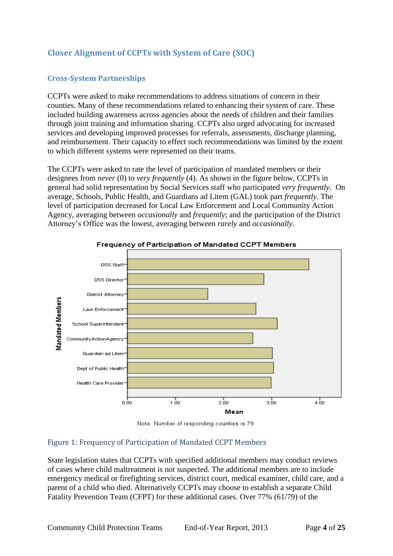# <span id="page-13-0"></span>**Closer Alignment of CCPTs with System of Care (SOC)**

#### <span id="page-13-1"></span>**Cross-System Partnerships**

CCPTs were asked to make recommendations to address situations of concern in their counties. Many of these recommendations related to enhancing their system of care. These included building awareness across agencies about the needs of children and their families through joint training and information sharing. CCPTs also urged advocating for increased services and developing improved processes for referrals, assessments, discharge planning, and reimbursement. Their capacity to effect such recommendations was limited by the extent to which different systems were represented on their teams.

The CCPTs were asked to rate the level of participation of mandated members or their designees from *never* (0) to *very frequently* (4). As shown in the figure below, CCPTs in general had solid representation by Social Services staff who participated *very frequently.* On average, Schools, Public Health, and Guardians ad Litem (GAL) took part *frequently*. The level of participation decreased for Local Law Enforcement and Local Community Action Agency, averaging between *occasionally* and *frequently*; and the participation of the District Attorney's Office was the lowest, averaging between *rarely* and *occasionally*.



Frequency of Participation of Mandated CCPT Members

Note. Number of responding counties is 79.

#### <span id="page-13-2"></span>Figure 1: Frequency of Participation of Mandated CCPT Members

State legislation states that CCPTs with specified additional members may conduct reviews of cases where child maltreatment is not suspected. The additional members are to include emergency medical or firefighting services, district court, medical examiner, child care, and a parent of a child who died. Alternatively CCPTs may choose to establish a separate Child Fatality Prevention Team (CFPT) for these additional cases. Over 77% (61/79) of the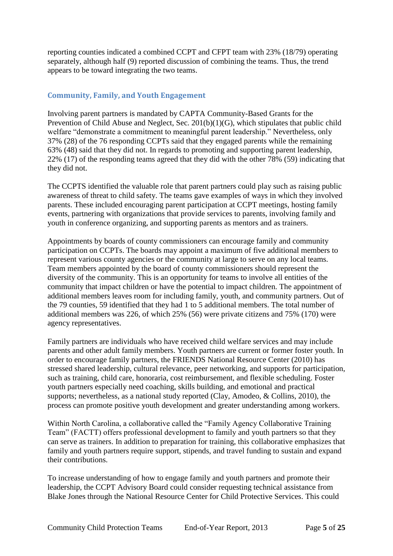reporting counties indicated a combined CCPT and CFPT team with 23% (18/79) operating separately, although half (9) reported discussion of combining the teams. Thus, the trend appears to be toward integrating the two teams.

### <span id="page-14-0"></span>**Community, Family, and Youth Engagement**

Involving parent partners is mandated by CAPTA Community-Based Grants for the Prevention of Child Abuse and Neglect, Sec. 201(b)(1)(G), which stipulates that public child welfare "demonstrate a commitment to meaningful parent leadership." Nevertheless, only 37% (28) of the 76 responding CCPTs said that they engaged parents while the remaining 63% (48) said that they did not. In regards to promoting and supporting parent leadership, 22% (17) of the responding teams agreed that they did with the other 78% (59) indicating that they did not.

The CCPTS identified the valuable role that parent partners could play such as raising public awareness of threat to child safety. The teams gave examples of ways in which they involved parents. These included encouraging parent participation at CCPT meetings, hosting family events, partnering with organizations that provide services to parents, involving family and youth in conference organizing, and supporting parents as mentors and as trainers.

Appointments by boards of county commissioners can encourage family and community participation on CCPTs. The boards may appoint a maximum of five additional members to represent various county agencies or the community at large to serve on any local teams. Team members appointed by the board of county commissioners should represent the diversity of the community. This is an opportunity for teams to involve all entities of the community that impact children or have the potential to impact children. The appointment of additional members leaves room for including family, youth, and community partners. Out of the 79 counties, 59 identified that they had 1 to 5 additional members. The total number of additional members was 226, of which 25% (56) were private citizens and 75% (170) were agency representatives.

Family partners are individuals who have received child welfare services and may include parents and other adult family members. Youth partners are current or former foster youth. In order to encourage family partners, the FRIENDS National Resource Center (2010) has stressed shared leadership, cultural relevance, peer networking, and supports for participation, such as training, child care, honoraria, cost reimbursement, and flexible scheduling. Foster youth partners especially need coaching, skills building, and emotional and practical supports; nevertheless, as a national study reported (Clay, Amodeo, & Collins, 2010), the process can promote positive youth development and greater understanding among workers.

Within North Carolina, a collaborative called the "Family Agency Collaborative Training Team" (FACTT) offers professional development to family and youth partners so that they can serve as trainers. In addition to preparation for training, this collaborative emphasizes that family and youth partners require support, stipends, and travel funding to sustain and expand their contributions.

To increase understanding of how to engage family and youth partners and promote their leadership, the CCPT Advisory Board could consider requesting technical assistance from Blake Jones through the National Resource Center for Child Protective Services. This could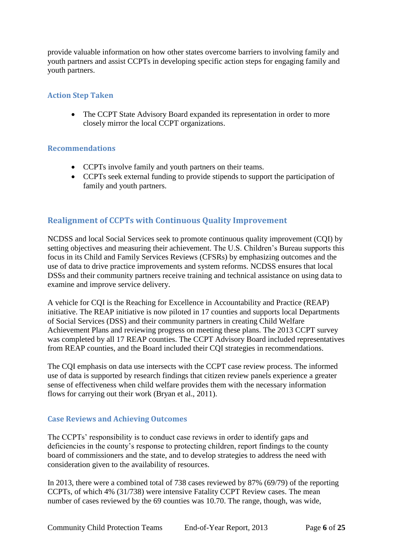provide valuable information on how other states overcome barriers to involving family and youth partners and assist CCPTs in developing specific action steps for engaging family and youth partners.

#### <span id="page-15-0"></span>**Action Step Taken**

• The CCPT State Advisory Board expanded its representation in order to more closely mirror the local CCPT organizations.

#### <span id="page-15-1"></span>**Recommendations**

- CCPTs involve family and youth partners on their teams.
- CCPTs seek external funding to provide stipends to support the participation of family and youth partners.

# <span id="page-15-2"></span>**Realignment of CCPTs with Continuous Quality Improvement**

NCDSS and local Social Services seek to promote continuous quality improvement (CQI) by setting objectives and measuring their achievement. The U.S. Children's Bureau supports this focus in its Child and Family Services Reviews (CFSRs) by emphasizing outcomes and the use of data to drive practice improvements and system reforms. NCDSS ensures that local DSSs and their community partners receive training and technical assistance on using data to examine and improve service delivery.

A vehicle for CQI is the Reaching for Excellence in Accountability and Practice (REAP) initiative. The REAP initiative is now piloted in 17 counties and supports local Departments of Social Services (DSS) and their community partners in creating Child Welfare Achievement Plans and reviewing progress on meeting these plans. The 2013 CCPT survey was completed by all 17 REAP counties. The CCPT Advisory Board included representatives from REAP counties, and the Board included their CQI strategies in recommendations.

The CQI emphasis on data use intersects with the CCPT case review process. The informed use of data is supported by research findings that citizen review panels experience a greater sense of effectiveness when child welfare provides them with the necessary information flows for carrying out their work (Bryan et al., 2011).

#### <span id="page-15-3"></span>**Case Reviews and Achieving Outcomes**

The CCPTs' responsibility is to conduct case reviews in order to identify gaps and deficiencies in the county's response to protecting children, report findings to the county board of commissioners and the state, and to develop strategies to address the need with consideration given to the availability of resources.

In 2013, there were a combined total of 738 cases reviewed by 87% (69/79) of the reporting CCPTs, of which 4% (31/738) were intensive Fatality CCPT Review cases. The mean number of cases reviewed by the 69 counties was 10.70. The range, though, was wide,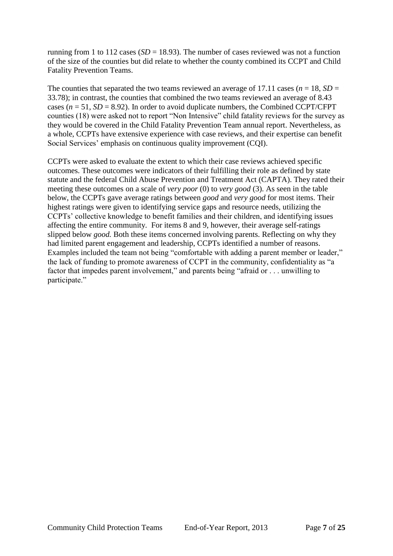running from 1 to 112 cases ( $SD = 18.93$ ). The number of cases reviewed was not a function of the size of the counties but did relate to whether the county combined its CCPT and Child Fatality Prevention Teams.

The counties that separated the two teams reviewed an average of 17.11 cases ( $n = 18$ ,  $SD =$ 33.78); in contrast, the counties that combined the two teams reviewed an average of 8.43 cases ( $n = 51$ ,  $SD = 8.92$ ). In order to avoid duplicate numbers, the Combined CCPT/CFPT counties (18) were asked not to report "Non Intensive" child fatality reviews for the survey as they would be covered in the Child Fatality Prevention Team annual report. Nevertheless, as a whole, CCPTs have extensive experience with case reviews, and their expertise can benefit Social Services' emphasis on continuous quality improvement (CQI).

CCPTs were asked to evaluate the extent to which their case reviews achieved specific outcomes. These outcomes were indicators of their fulfilling their role as defined by state statute and the federal Child Abuse Prevention and Treatment Act (CAPTA). They rated their meeting these outcomes on a scale of *very poor* (0) to *very good* (3). As seen in the table below, the CCPTs gave average ratings between *good* and *very good* for most items. Their highest ratings were given to identifying service gaps and resource needs, utilizing the CCPTs' collective knowledge to benefit families and their children, and identifying issues affecting the entire community. For items 8 and 9, however, their average self-ratings slipped below *good.* Both these items concerned involving parents. Reflecting on why they had limited parent engagement and leadership, CCPTs identified a number of reasons. Examples included the team not being "comfortable with adding a parent member or leader," the lack of funding to promote awareness of CCPT in the community, confidentiality as "a factor that impedes parent involvement," and parents being "afraid or . . . unwilling to participate."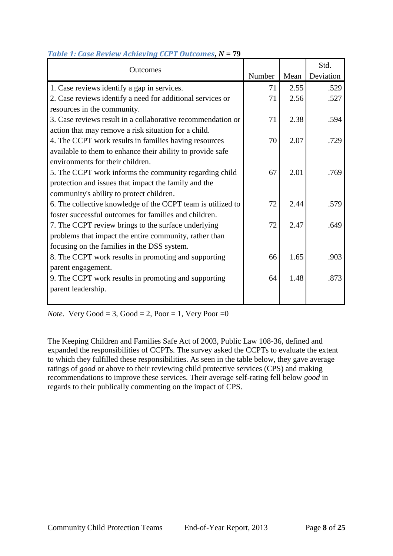| Outcomes                                                    |        |      | Std.      |
|-------------------------------------------------------------|--------|------|-----------|
|                                                             | Number | Mean | Deviation |
| 1. Case reviews identify a gap in services.                 | 71     | 2.55 | .529      |
| 2. Case reviews identify a need for additional services or  | 71     | 2.56 | .527      |
| resources in the community.                                 |        |      |           |
| 3. Case reviews result in a collaborative recommendation or | 71     | 2.38 | .594      |
| action that may remove a risk situation for a child.        |        |      |           |
| 4. The CCPT work results in families having resources       | 70     | 2.07 | .729      |
| available to them to enhance their ability to provide safe  |        |      |           |
| environments for their children.                            |        |      |           |
| 5. The CCPT work informs the community regarding child      | 67     | 2.01 | .769      |
| protection and issues that impact the family and the        |        |      |           |
| community's ability to protect children.                    |        |      |           |
| 6. The collective knowledge of the CCPT team is utilized to | 72     | 2.44 | .579      |
| foster successful outcomes for families and children.       |        |      |           |
| 7. The CCPT review brings to the surface underlying         | 72     | 2.47 | .649      |
| problems that impact the entire community, rather than      |        |      |           |
| focusing on the families in the DSS system.                 |        |      |           |
| 8. The CCPT work results in promoting and supporting        | 66     | 1.65 | .903      |
| parent engagement.                                          |        |      |           |
| 9. The CCPT work results in promoting and supporting        | 64     | 1.48 | .873      |
| parent leadership.                                          |        |      |           |
|                                                             |        |      |           |

#### <span id="page-17-0"></span>*Table 1: Case Review Achieving CCPT Outcomes***,** *N* **= 79**

*Note.* Very  $Good = 3$ ,  $Good = 2$ ,  $Poor = 1$ ,  $Very Poor = 0$ 

The Keeping Children and Families Safe Act of 2003, Public Law 108-36, defined and expanded the responsibilities of CCPTs. The survey asked the CCPTs to evaluate the extent to which they fulfilled these responsibilities. As seen in the table below, they gave average ratings of *good* or above to their reviewing child protective services (CPS) and making recommendations to improve these services. Their average self-rating fell below *good* in regards to their publically commenting on the impact of CPS.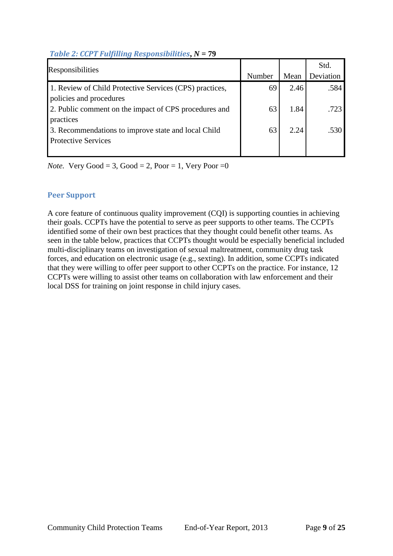### <span id="page-18-1"></span>*Table 2: CCPT Fulfilling Responsibilities***,** *N* **= 79**

| Responsibilities                                        |        |      | Std.      |
|---------------------------------------------------------|--------|------|-----------|
|                                                         | Number | Mean | Deviation |
| 1. Review of Child Protective Services (CPS) practices, | 69     | 2.46 | .584      |
| policies and procedures                                 |        |      |           |
| 2. Public comment on the impact of CPS procedures and   | 63     | 1.84 | .723      |
| practices                                               |        |      |           |
| 3. Recommendations to improve state and local Child     | 63     | 2.24 | .530.     |
| <b>Protective Services</b>                              |        |      |           |
|                                                         |        |      |           |

*Note.* Very Good = 3, Good = 2, Poor = 1, Very Poor = 0

#### <span id="page-18-0"></span>**Peer Support**

A core feature of continuous quality improvement (CQI) is supporting counties in achieving their goals. CCPTs have the potential to serve as peer supports to other teams. The CCPTs identified some of their own best practices that they thought could benefit other teams. As seen in the table below, practices that CCPTs thought would be especially beneficial included multi-disciplinary teams on investigation of sexual maltreatment, community drug task forces, and education on electronic usage (e.g., sexting). In addition, some CCPTs indicated that they were willing to offer peer support to other CCPTs on the practice. For instance, 12 CCPTs were willing to assist other teams on collaboration with law enforcement and their local DSS for training on joint response in child injury cases.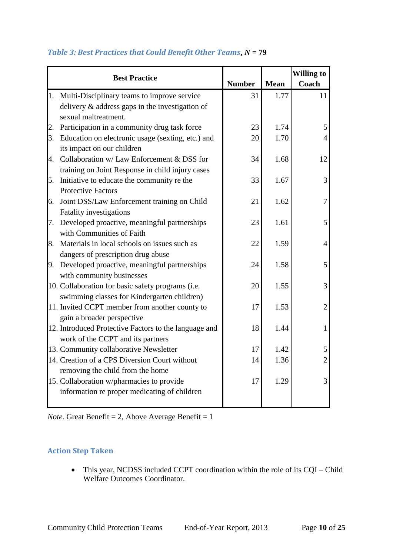|    | <b>Best Practice</b>                                  |               |             | <b>Willing to</b> |
|----|-------------------------------------------------------|---------------|-------------|-------------------|
|    |                                                       | <b>Number</b> | <b>Mean</b> | Coach             |
|    | 1. Multi-Disciplinary teams to improve service        | 31            | 1.77        | 11                |
|    | delivery $\&$ address gaps in the investigation of    |               |             |                   |
|    | sexual maltreatment.                                  |               |             |                   |
| 2. | Participation in a community drug task force          | 23            | 1.74        | 5                 |
|    | 3. Education on electronic usage (sexting, etc.) and  | 20            | 1.70        | 4                 |
|    | its impact on our children                            |               |             |                   |
|    | 4. Collaboration w/ Law Enforcement & DSS for         | 34            | 1.68        | 12                |
|    | training on Joint Response in child injury cases      |               |             |                   |
| 5. | Initiative to educate the community re the            | 33            | 1.67        | 3                 |
|    | <b>Protective Factors</b>                             |               |             |                   |
| 6. | Joint DSS/Law Enforcement training on Child           | 21            | 1.62        | 7                 |
|    | <b>Fatality investigations</b>                        |               |             |                   |
|    | 7. Developed proactive, meaningful partnerships       | 23            | 1.61        | 5                 |
|    | with Communities of Faith                             |               |             |                   |
| 8. | Materials in local schools on issues such as          | 22            | 1.59        | $\overline{4}$    |
|    | dangers of prescription drug abuse                    |               |             |                   |
|    | 9. Developed proactive, meaningful partnerships       | 24            | 1.58        | 5                 |
|    | with community businesses                             |               |             |                   |
|    | 10. Collaboration for basic safety programs (i.e.     | 20            | 1.55        | 3                 |
|    | swimming classes for Kindergarten children)           |               |             |                   |
|    | 11. Invited CCPT member from another county to        | 17            | 1.53        | $\overline{2}$    |
|    | gain a broader perspective                            |               |             |                   |
|    | 12. Introduced Protective Factors to the language and | 18            | 1.44        | $\mathbf{1}$      |
|    | work of the CCPT and its partners                     |               |             |                   |
|    | 13. Community collaborative Newsletter                | 17            | 1.42        | 5                 |
|    | 14. Creation of a CPS Diversion Court without         | 14            | 1.36        | $\overline{2}$    |
|    | removing the child from the home                      |               |             |                   |
|    | 15. Collaboration w/pharmacies to provide             | 17            | 1.29        | 3                 |
|    | information re proper medicating of children          |               |             |                   |
|    |                                                       |               |             |                   |

# <span id="page-19-1"></span>*Table 3: Best Practices that Could Benefit Other Teams***,** *N* **= 79**

*Note.* Great Benefit = 2, Above Average Benefit =  $1$ 

#### <span id="page-19-0"></span>**Action Step Taken**

 This year, NCDSS included CCPT coordination within the role of its CQI – Child Welfare Outcomes Coordinator.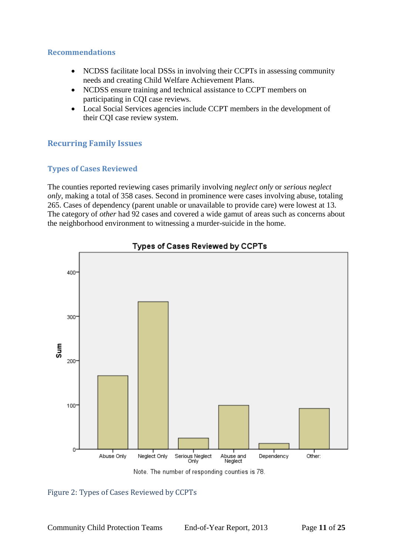#### <span id="page-20-0"></span>**Recommendations**

- NCDSS facilitate local DSSs in involving their CCPTs in assessing community needs and creating Child Welfare Achievement Plans.
- NCDSS ensure training and technical assistance to CCPT members on participating in CQI case reviews.
- Local Social Services agencies include CCPT members in the development of their CQI case review system.

# <span id="page-20-1"></span>**Recurring Family Issues**

# <span id="page-20-2"></span>**Types of Cases Reviewed**

The counties reported reviewing cases primarily involving *neglect only* or *serious neglect only*, making a total of 358 cases. Second in prominence were cases involving abuse, totaling 265. Cases of dependency (parent unable or unavailable to provide care) were lowest at 13. The category of *other* had 92 cases and covered a wide gamut of areas such as concerns about the neighborhood environment to witnessing a murder-suicide in the home.







#### <span id="page-20-3"></span>Figure 2: Types of Cases Reviewed by CCPTs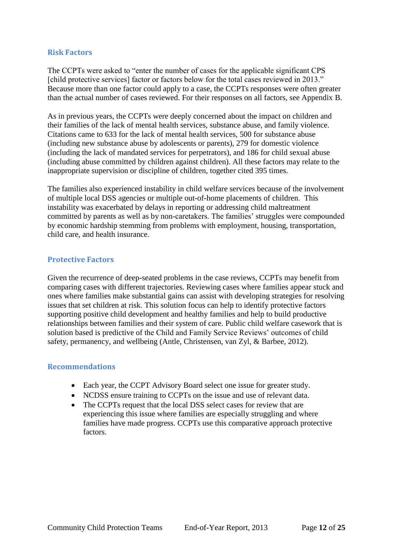#### <span id="page-21-0"></span>**Risk Factors**

The CCPTs were asked to "enter the number of cases for the applicable significant CPS [child protective services] factor or factors below for the total cases reviewed in 2013." Because more than one factor could apply to a case, the CCPTs responses were often greater than the actual number of cases reviewed. For their responses on all factors, see Appendix B.

As in previous years, the CCPTs were deeply concerned about the impact on children and their families of the lack of mental health services, substance abuse, and family violence. Citations came to 633 for the lack of mental health services, 500 for substance abuse (including new substance abuse by adolescents or parents), 279 for domestic violence (including the lack of mandated services for perpetrators), and 186 for child sexual abuse (including abuse committed by children against children). All these factors may relate to the inappropriate supervision or discipline of children, together cited 395 times.

The families also experienced instability in child welfare services because of the involvement of multiple local DSS agencies or multiple out-of-home placements of children. This instability was exacerbated by delays in reporting or addressing child maltreatment committed by parents as well as by non-caretakers. The families' struggles were compounded by economic hardship stemming from problems with employment, housing, transportation, child care, and health insurance.

#### <span id="page-21-1"></span>**Protective Factors**

Given the recurrence of deep-seated problems in the case reviews, CCPTs may benefit from comparing cases with different trajectories. Reviewing cases where families appear stuck and ones where families make substantial gains can assist with developing strategies for resolving issues that set children at risk. This solution focus can help to identify protective factors supporting positive child development and healthy families and help to build productive relationships between families and their system of care. Public child welfare casework that is solution based is predictive of the Child and Family Service Reviews' outcomes of child safety, permanency, and wellbeing (Antle, Christensen, van Zyl, & Barbee, 2012).

#### <span id="page-21-2"></span>**Recommendations**

- Each year, the CCPT Advisory Board select one issue for greater study.
- NCDSS ensure training to CCPTs on the issue and use of relevant data.
- The CCPTs request that the local DSS select cases for review that are experiencing this issue where families are especially struggling and where families have made progress. CCPTs use this comparative approach protective factors.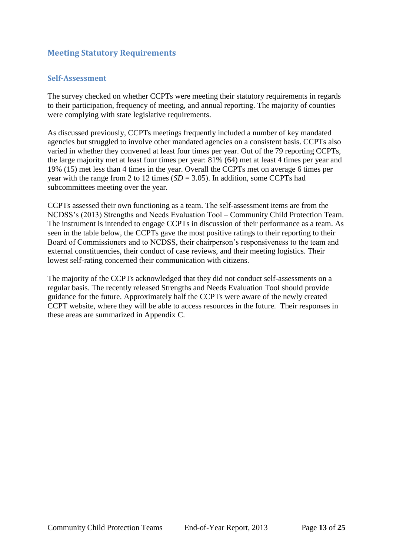# <span id="page-22-0"></span>**Meeting Statutory Requirements**

#### <span id="page-22-1"></span>**Self-Assessment**

The survey checked on whether CCPTs were meeting their statutory requirements in regards to their participation, frequency of meeting, and annual reporting. The majority of counties were complying with state legislative requirements.

As discussed previously, CCPTs meetings frequently included a number of key mandated agencies but struggled to involve other mandated agencies on a consistent basis. CCPTs also varied in whether they convened at least four times per year. Out of the 79 reporting CCPTs, the large majority met at least four times per year: 81% (64) met at least 4 times per year and 19% (15) met less than 4 times in the year. Overall the CCPTs met on average 6 times per year with the range from 2 to 12 times  $(SD = 3.05)$ . In addition, some CCPTs had subcommittees meeting over the year.

CCPTs assessed their own functioning as a team. The self-assessment items are from the NCDSS's (2013) Strengths and Needs Evaluation Tool – Community Child Protection Team. The instrument is intended to engage CCPTs in discussion of their performance as a team. As seen in the table below, the CCPTs gave the most positive ratings to their reporting to their Board of Commissioners and to NCDSS, their chairperson's responsiveness to the team and external constituencies, their conduct of case reviews, and their meeting logistics. Their lowest self-rating concerned their communication with citizens.

The majority of the CCPTs acknowledged that they did not conduct self-assessments on a regular basis. The recently released Strengths and Needs Evaluation Tool should provide guidance for the future. Approximately half the CCPTs were aware of the newly created CCPT website, where they will be able to access resources in the future. Their responses in these areas are summarized in Appendix C.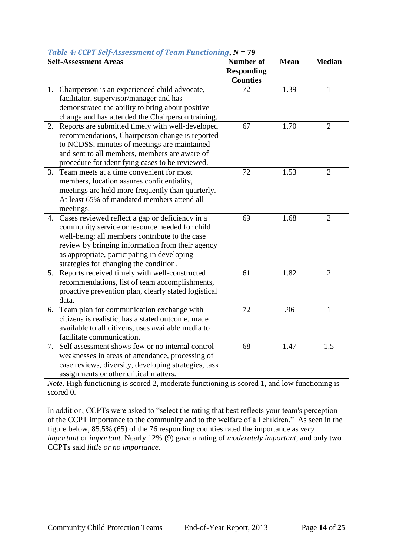|    | rubic 1. och 1 belj modsoment of<br>$1 \text{ cm}$ anti-compart $-1$<br><b>Self-Assessment Areas</b>                                                                                                                                                                                                | <b>Number of</b><br><b>Responding</b><br><b>Counties</b> | <b>Mean</b> | <b>Median</b>  |
|----|-----------------------------------------------------------------------------------------------------------------------------------------------------------------------------------------------------------------------------------------------------------------------------------------------------|----------------------------------------------------------|-------------|----------------|
| 1. | Chairperson is an experienced child advocate,<br>facilitator, supervisor/manager and has<br>demonstrated the ability to bring about positive<br>change and has attended the Chairperson training.                                                                                                   | 72                                                       | 1.39        | 1              |
| 2. | Reports are submitted timely with well-developed<br>recommendations, Chairperson change is reported<br>to NCDSS, minutes of meetings are maintained<br>and sent to all members, members are aware of<br>procedure for identifying cases to be reviewed.                                             | 67                                                       | 1.70        | $\overline{2}$ |
| 3. | Team meets at a time convenient for most<br>members, location assures confidentiality,<br>meetings are held more frequently than quarterly.<br>At least 65% of mandated members attend all<br>meetings.                                                                                             | 72                                                       | 1.53        | $\overline{2}$ |
|    | 4. Cases reviewed reflect a gap or deficiency in a<br>community service or resource needed for child<br>well-being; all members contribute to the case<br>review by bringing information from their agency<br>as appropriate, participating in developing<br>strategies for changing the condition. | 69                                                       | 1.68        | $\overline{2}$ |
|    | 5. Reports received timely with well-constructed<br>recommendations, list of team accomplishments,<br>proactive prevention plan, clearly stated logistical<br>data.                                                                                                                                 | 61                                                       | 1.82        | $\overline{2}$ |
| 6. | Team plan for communication exchange with<br>citizens is realistic, has a stated outcome, made<br>available to all citizens, uses available media to<br>facilitate communication.                                                                                                                   | 72                                                       | .96         | 1              |
| 7. | Self assessment shows few or no internal control<br>weaknesses in areas of attendance, processing of<br>case reviews, diversity, developing strategies, task<br>assignments or other critical matters.                                                                                              | 68                                                       | 1.47        | 1.5            |

# <span id="page-23-0"></span>*Table 4: CCPT Self-Assessment of Team Functioning***,** *N* **= 79**

*Note.* High functioning is scored 2, moderate functioning is scored 1, and low functioning is scored 0.

In addition, CCPTs were asked to "select the rating that best reflects your team's perception of the CCPT importance to the community and to the welfare of all children." As seen in the figure below, 85.5% (65) of the 76 responding counties rated the importance as *very important* or *important.* Nearly 12% (9) gave a rating of *moderately important,* and only two CCPTs said *little or no importance.*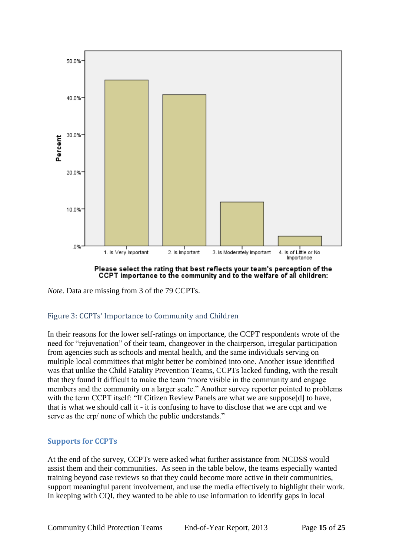

Please select the rating that best reflects your team's perception of the CCPT importance to the community and to the welfare of all children:

*Note.* Data are missing from 3 of the 79 CCPTs.

#### <span id="page-24-1"></span>Figure 3: CCPTs' Importance to Community and Children

In their reasons for the lower self-ratings on importance, the CCPT respondents wrote of the need for "rejuvenation" of their team, changeover in the chairperson, irregular participation from agencies such as schools and mental health, and the same individuals serving on multiple local committees that might better be combined into one. Another issue identified was that unlike the Child Fatality Prevention Teams, CCPTs lacked funding, with the result that they found it difficult to make the team "more visible in the community and engage members and the community on a larger scale." Another survey reporter pointed to problems with the term CCPT itself: "If Citizen Review Panels are what we are suppose[d] to have, that is what we should call it - it is confusing to have to disclose that we are ccpt and we serve as the crp/ none of which the public understands."

#### <span id="page-24-0"></span>**Supports for CCPTs**

At the end of the survey, CCPTs were asked what further assistance from NCDSS would assist them and their communities. As seen in the table below, the teams especially wanted training beyond case reviews so that they could become more active in their communities, support meaningful parent involvement, and use the media effectively to highlight their work. In keeping with CQI, they wanted to be able to use information to identify gaps in local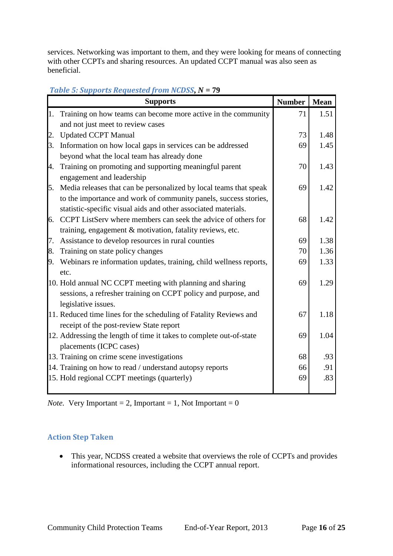services. Networking was important to them, and they were looking for means of connecting with other CCPTs and sharing resources. An updated CCPT manual was also seen as beneficial.

<span id="page-25-1"></span>

|           | <b>Supports</b>                                                                                              | <b>Number</b> | <b>Mean</b> |
|-----------|--------------------------------------------------------------------------------------------------------------|---------------|-------------|
| 1.        | Training on how teams can become more active in the community                                                | 71            | 1.51        |
|           | and not just meet to review cases                                                                            |               |             |
| 2.        | <b>Updated CCPT Manual</b>                                                                                   | 73            | 1.48        |
| $\beta$ . | Information on how local gaps in services can be addressed                                                   | 69            | 1.45        |
|           | beyond what the local team has already done                                                                  |               |             |
| 4.        | Training on promoting and supporting meaningful parent                                                       | 70            | 1.43        |
|           | engagement and leadership                                                                                    |               |             |
| 5.        | Media releases that can be personalized by local teams that speak                                            | 69            | 1.42        |
|           | to the importance and work of community panels, success stories,                                             |               |             |
|           | statistic-specific visual aids and other associated materials.                                               |               |             |
| 6.        | CCPT ListServ where members can seek the advice of others for                                                | 68            | 1.42        |
|           | training, engagement & motivation, fatality reviews, etc.                                                    |               |             |
| 7.        | Assistance to develop resources in rural counties                                                            | 69            | 1.38        |
| 8.        | Training on state policy changes                                                                             | 70            | 1.36        |
| 9.        | Webinars re information updates, training, child wellness reports,                                           | 69            | 1.33        |
|           | etc.                                                                                                         |               |             |
|           | 10. Hold annual NC CCPT meeting with planning and sharing                                                    | 69            | 1.29        |
|           | sessions, a refresher training on CCPT policy and purpose, and                                               |               |             |
|           | legislative issues.                                                                                          |               |             |
|           | 11. Reduced time lines for the scheduling of Fatality Reviews and<br>receipt of the post-review State report | 67            | 1.18        |
|           | 12. Addressing the length of time it takes to complete out-of-state                                          | 69            | 1.04        |
|           | placements (ICPC cases)                                                                                      |               |             |
|           | 13. Training on crime scene investigations                                                                   | 68            | .93         |
|           | 14. Training on how to read / understand autopsy reports                                                     | 66            | .91         |
|           | 15. Hold regional CCPT meetings (quarterly)                                                                  | 69            | .83         |
|           |                                                                                                              |               |             |

*Note.* Very Important = 2, Important = 1, Not Important =  $0$ 

# <span id="page-25-0"></span>**Action Step Taken**

• This year, NCDSS created a website that overviews the role of CCPTs and provides informational resources, including the CCPT annual report.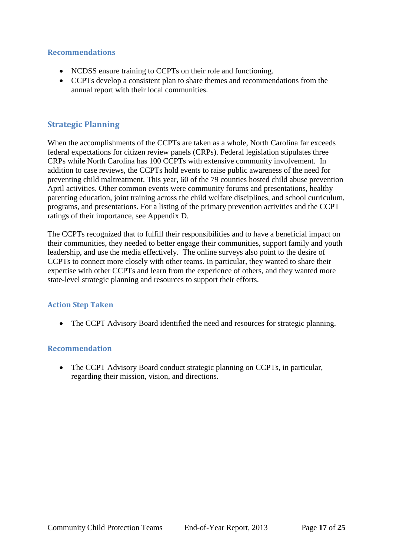#### <span id="page-26-0"></span>**Recommendations**

- NCDSS ensure training to CCPTs on their role and functioning.
- CCPTs develop a consistent plan to share themes and recommendations from the annual report with their local communities.

# <span id="page-26-1"></span>**Strategic Planning**

When the accomplishments of the CCPTs are taken as a whole, North Carolina far exceeds federal expectations for citizen review panels (CRPs). Federal legislation stipulates three CRPs while North Carolina has 100 CCPTs with extensive community involvement. In addition to case reviews, the CCPTs hold events to raise public awareness of the need for preventing child maltreatment. This year, 60 of the 79 counties hosted child abuse prevention April activities. Other common events were community forums and presentations, healthy parenting education, joint training across the child welfare disciplines, and school curriculum, programs, and presentations. For a listing of the primary prevention activities and the CCPT ratings of their importance, see Appendix D.

The CCPTs recognized that to fulfill their responsibilities and to have a beneficial impact on their communities, they needed to better engage their communities, support family and youth leadership, and use the media effectively. The online surveys also point to the desire of CCPTs to connect more closely with other teams. In particular, they wanted to share their expertise with other CCPTs and learn from the experience of others, and they wanted more state-level strategic planning and resources to support their efforts.

#### <span id="page-26-2"></span>**Action Step Taken**

The CCPT Advisory Board identified the need and resources for strategic planning.

#### <span id="page-26-3"></span>**Recommendation**

• The CCPT Advisory Board conduct strategic planning on CCPTs, in particular, regarding their mission, vision, and directions.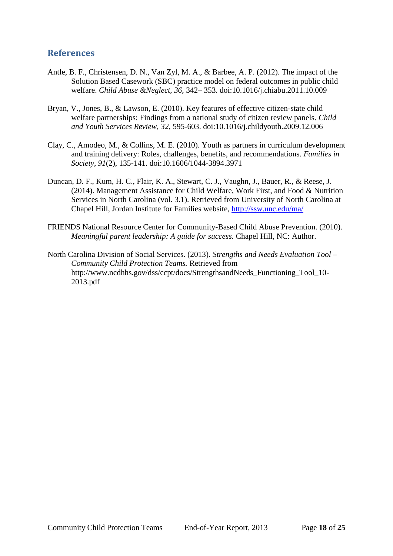# <span id="page-27-0"></span>**References**

- Antle, B. F., Christensen, D. N., Van Zyl, M. A., & Barbee, A. P. (2012). The impact of the Solution Based Casework (SBC) practice model on federal outcomes in public child welfare. *Child Abuse &Neglect, 36,* 342– 353. doi:10.1016/j.chiabu.2011.10.009
- Bryan, V., Jones, B., & Lawson, E. (2010). Key features of effective citizen-state child welfare partnerships: Findings from a national study of citizen review panels. *Child and Youth Services Review, 32,* 595-603. doi:10.1016/j.childyouth.2009.12.006
- Clay, C., Amodeo, M., & Collins, M. E. (2010). Youth as partners in curriculum development and training delivery: Roles, challenges, benefits, and recommendations. *Families in Society, 91*(2), 135-141. doi:10.1606/1044-3894.3971
- Duncan, D. F., Kum, H. C., Flair, K. A., Stewart, C. J., Vaughn, J., Bauer, R., & Reese, J. (2014). Management Assistance for Child Welfare, Work First, and Food & Nutrition Services in North Carolina (vol. 3.1). Retrieved from University of North Carolina at Chapel Hill, Jordan Institute for Families website,<http://ssw.unc.edu/ma/>
- FRIENDS National Resource Center for Community-Based Child Abuse Prevention. (2010). *Meaningful parent leadership: A guide for success.* Chapel Hill, NC: Author.
- North Carolina Division of Social Services. (2013). *Strengths and Needs Evaluation Tool – Community Child Protection Teams.* Retrieved from http://www.ncdhhs.gov/dss/ccpt/docs/StrengthsandNeeds\_Functioning\_Tool\_10- 2013.pdf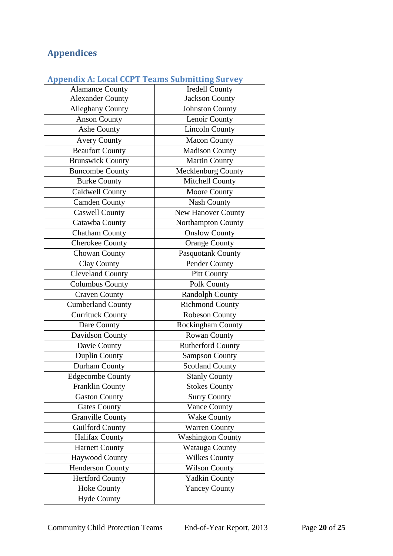# <span id="page-29-0"></span>**Appendices**

| Appendix A: Local CCPT Teams Submitting Survey |                           |  |  |  |
|------------------------------------------------|---------------------------|--|--|--|
| <b>Alamance County</b>                         | <b>Iredell County</b>     |  |  |  |
| <b>Alexander County</b>                        | <b>Jackson County</b>     |  |  |  |
| <b>Alleghany County</b>                        | <b>Johnston County</b>    |  |  |  |
| <b>Anson County</b>                            | Lenoir County             |  |  |  |
| Ashe County                                    | <b>Lincoln County</b>     |  |  |  |
| <b>Avery County</b>                            | <b>Macon County</b>       |  |  |  |
| <b>Beaufort County</b>                         | <b>Madison County</b>     |  |  |  |
| <b>Brunswick County</b>                        | <b>Martin County</b>      |  |  |  |
| <b>Buncombe County</b>                         | Mecklenburg County        |  |  |  |
| <b>Burke County</b>                            | Mitchell County           |  |  |  |
| <b>Caldwell County</b>                         | Moore County              |  |  |  |
| <b>Camden County</b>                           | <b>Nash County</b>        |  |  |  |
| <b>Caswell County</b>                          | <b>New Hanover County</b> |  |  |  |
| Catawba County                                 | Northampton County        |  |  |  |
| <b>Chatham County</b>                          | <b>Onslow County</b>      |  |  |  |
| <b>Cherokee County</b>                         | <b>Orange County</b>      |  |  |  |
| Chowan County                                  | Pasquotank County         |  |  |  |
| Clay County                                    | Pender County             |  |  |  |
| <b>Cleveland County</b>                        | <b>Pitt County</b>        |  |  |  |
| <b>Columbus County</b>                         | Polk County               |  |  |  |
| <b>Craven County</b>                           | <b>Randolph County</b>    |  |  |  |
| <b>Cumberland County</b>                       | <b>Richmond County</b>    |  |  |  |
| Currituck County                               | Robeson County            |  |  |  |
| Dare County                                    | Rockingham County         |  |  |  |
| Davidson County                                | <b>Rowan County</b>       |  |  |  |
| Davie County                                   | <b>Rutherford County</b>  |  |  |  |
| Duplin County                                  | Sampson County            |  |  |  |
| Durham County                                  | <b>Scotland County</b>    |  |  |  |
| <b>Edgecombe County</b>                        | <b>Stanly County</b>      |  |  |  |
| <b>Franklin County</b>                         | <b>Stokes County</b>      |  |  |  |
| <b>Gaston County</b>                           | <b>Surry County</b>       |  |  |  |
| <b>Gates County</b>                            | <b>Vance County</b>       |  |  |  |
| <b>Granville County</b>                        | <b>Wake County</b>        |  |  |  |
| <b>Guilford County</b>                         | <b>Warren County</b>      |  |  |  |
| <b>Halifax County</b>                          | <b>Washington County</b>  |  |  |  |
| <b>Harnett County</b>                          | Watauga County            |  |  |  |
| Haywood County                                 | <b>Wilkes County</b>      |  |  |  |
| <b>Henderson County</b>                        | <b>Wilson County</b>      |  |  |  |
| <b>Hertford County</b>                         | <b>Yadkin County</b>      |  |  |  |
| <b>Hoke County</b>                             | <b>Yancey County</b>      |  |  |  |
| <b>Hyde County</b>                             |                           |  |  |  |

# <span id="page-29-1"></span>**Appendix A: Local CCPT Teams Submitting Survey**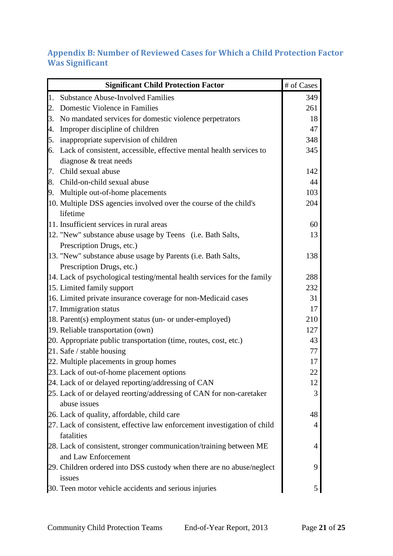# <span id="page-30-0"></span>**Appendix B: Number of Reviewed Cases for Which a Child Protection Factor Was Significant**

|    | <b>Significant Child Protection Factor</b>                               | # of Cases     |
|----|--------------------------------------------------------------------------|----------------|
| 1. | <b>Substance Abuse-Involved Families</b>                                 | 349            |
| 2. | Domestic Violence in Families                                            | 261            |
|    | 3. No mandated services for domestic violence perpetrators               | 18             |
|    | 4. Improper discipline of children                                       | 47             |
|    | 5. inappropriate supervision of children                                 | 348            |
|    | 6. Lack of consistent, accessible, effective mental health services to   | 345            |
|    | diagnose & treat needs                                                   |                |
|    | 7. Child sexual abuse                                                    | 142            |
|    | 8. Child-on-child sexual abuse                                           | 44             |
| 9. | Multiple out-of-home placements                                          | 103            |
|    | 10. Multiple DSS agencies involved over the course of the child's        | 204            |
|    | lifetime                                                                 |                |
|    | 11. Insufficient services in rural areas                                 | 60             |
|    | 12. "New" substance abuse usage by Teens (i.e. Bath Salts,               | 13             |
|    | Prescription Drugs, etc.)                                                |                |
|    | 13. "New" substance abuse usage by Parents (i.e. Bath Salts,             | 138            |
|    | Prescription Drugs, etc.)                                                |                |
|    | 14. Lack of psychological testing/mental health services for the family  | 288            |
|    | 15. Limited family support                                               | 232            |
|    | 16. Limited private insurance coverage for non-Medicaid cases            | 31             |
|    | 17. Immigration status                                                   | 17             |
|    | 18. Parent(s) employment status (un- or under-employed)                  | 210            |
|    | 19. Reliable transportation (own)                                        | 127            |
|    | 20. Appropriate public transportation (time, routes, cost, etc.)         | 43             |
|    | 21. Safe / stable housing                                                | 77             |
|    | 22. Multiple placements in group homes                                   | 17             |
|    | 23. Lack of out-of-home placement options                                | 22             |
|    | 24. Lack of or delayed reporting/addressing of CAN                       | 12             |
|    | 25. Lack of or delayed reorting/addressing of CAN for non-caretaker      | 3              |
|    | abuse issues                                                             |                |
|    | 26. Lack of quality, affordable, child care                              | 48             |
|    | 27. Lack of consistent, effective law enforcement investigation of child | $\overline{4}$ |
|    | fatalities                                                               |                |
|    | 28. Lack of consistent, stronger communication/training between ME       | 4              |
|    | and Law Enforcement                                                      |                |
|    | 29. Children ordered into DSS custody when there are no abuse/neglect    | 9              |
|    | issues                                                                   |                |
|    | 30. Teen motor vehicle accidents and serious injuries                    | 5              |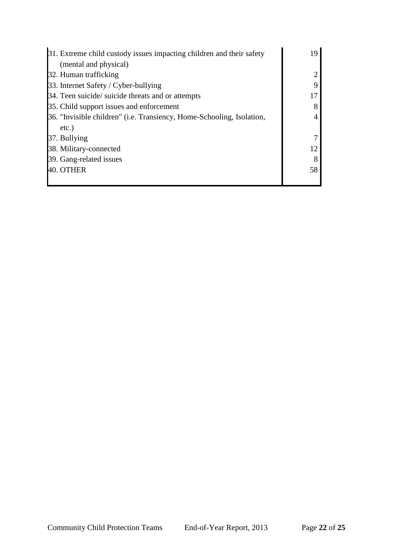| 31. Extreme child custody issues impacting children and their safety  | 19 |
|-----------------------------------------------------------------------|----|
| (mental and physical)                                                 |    |
| 32. Human trafficking                                                 |    |
| 33. Internet Safety / Cyber-bullying                                  |    |
| 34. Teen suicide/ suicide threats and or attempts                     | 17 |
| 35. Child support issues and enforcement                              |    |
| 36. "Invisible children" (i.e. Transiency, Home-Schooling, Isolation, |    |
| $etc.$ )                                                              |    |
| 37. Bullying                                                          |    |
| 38. Military-connected                                                | 12 |
| 39. Gang-related issues                                               |    |
| 40. OTHER                                                             | 58 |
|                                                                       |    |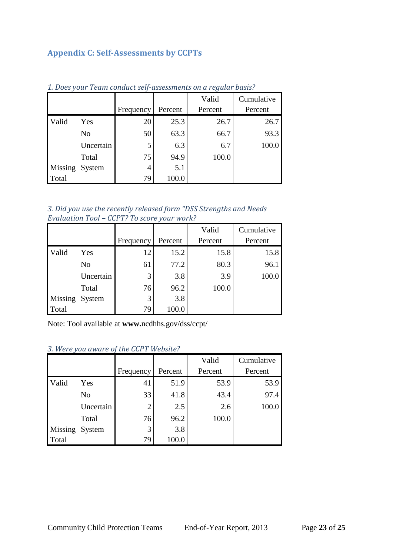# <span id="page-32-0"></span>**Appendix C: Self-Assessments by CCPTs**

|         |                |           |         | Valid   | Cumulative |
|---------|----------------|-----------|---------|---------|------------|
|         |                | Frequency | Percent | Percent | Percent    |
| Valid   | Yes            | 20        | 25.3    | 26.7    | 26.7       |
|         | N <sub>o</sub> | 50        | 63.3    | 66.7    | 93.3       |
|         | Uncertain      | 5         | 6.3     | 6.7     | 100.0      |
|         | Total          | 75        | 94.9    | 100.0   |            |
| Missing | System         | 4         | 5.1     |         |            |
| Total   |                | 79        | 100.0   |         |            |

*1. Does your Team conduct self-assessments on a regular basis?*

| 3. Did you use the recently released form "DSS Strengths and Needs" |  |
|---------------------------------------------------------------------|--|
| Evaluation Tool – CCPT? To score your work?                         |  |

|                |           |           |         | Valid   | Cumulative |
|----------------|-----------|-----------|---------|---------|------------|
|                |           | Frequency | Percent | Percent | Percent    |
| Valid          | Yes       | 12        | 15.2    | 15.8    | 15.8       |
|                | No        | 61        | 77.2    | 80.3    | 96.1       |
|                | Uncertain | 3         | 3.8     | 3.9     | 100.0      |
|                | Total     | 76        | 96.2    | 100.0   |            |
| Missing System |           | 3         | 3.8     |         |            |
| Total          |           | 79        | 100.0   |         |            |

Note: Tool available at **www.**ncdhhs.gov/dss/ccpt/

# *3. Were you aware of the CCPT Website?*

|                |           |                |         | Valid   | Cumulative |
|----------------|-----------|----------------|---------|---------|------------|
|                |           | Frequency      | Percent | Percent | Percent    |
| Valid          | Yes       | 41             | 51.9    | 53.9    | 53.9       |
|                | No        | 33             | 41.8    | 43.4    | 97.4       |
|                | Uncertain | $\overline{2}$ | 2.5     | 2.6     | 100.0      |
|                | Total     | 76             | 96.2    | 100.0   |            |
| Missing System |           | 3              | 3.8     |         |            |
| Total          |           | 79             | 100.0   |         |            |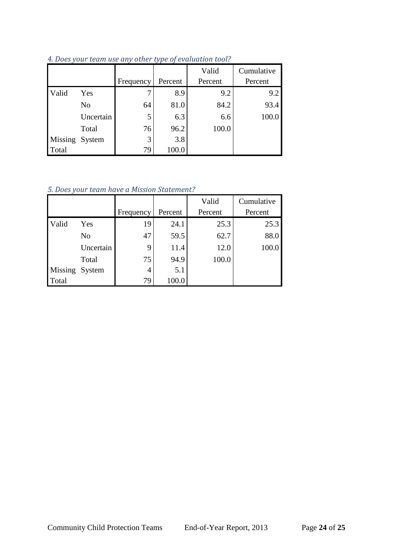|                |           |           |         | Valid   | Cumulative |
|----------------|-----------|-----------|---------|---------|------------|
|                |           | Frequency | Percent | Percent | Percent    |
| Valid          | Yes       | 7         | 8.9     | 9.2     | 9.2        |
|                | No        | 64        | 81.0    | 84.2    | 93.4       |
|                | Uncertain | 5         | 6.3     | 6.6     | 100.0      |
|                | Total     | 76        | 96.2    | 100.0   |            |
| Missing System |           | 3         | 3.8     |         |            |
| Total          |           | 79        | 100.0   |         |            |

*4. Does your team use any other type of evaluation tool?*

*5. Does your team have a Mission Statement?*

|                |           |                |         | Valid   | Cumulative |
|----------------|-----------|----------------|---------|---------|------------|
|                |           | Frequency      | Percent | Percent | Percent    |
| Valid          | Yes       | 19             | 24.1    | 25.3    | 25.3       |
|                | No        | 47             | 59.5    | 62.7    | 88.0       |
|                | Uncertain | 9              | 11.4    | 12.0    | 100.0      |
|                | Total     | 75             | 94.9    | 100.0   |            |
| Missing System |           | $\overline{4}$ | 5.1     |         |            |
| Total          |           | 79             | 100.0   |         |            |